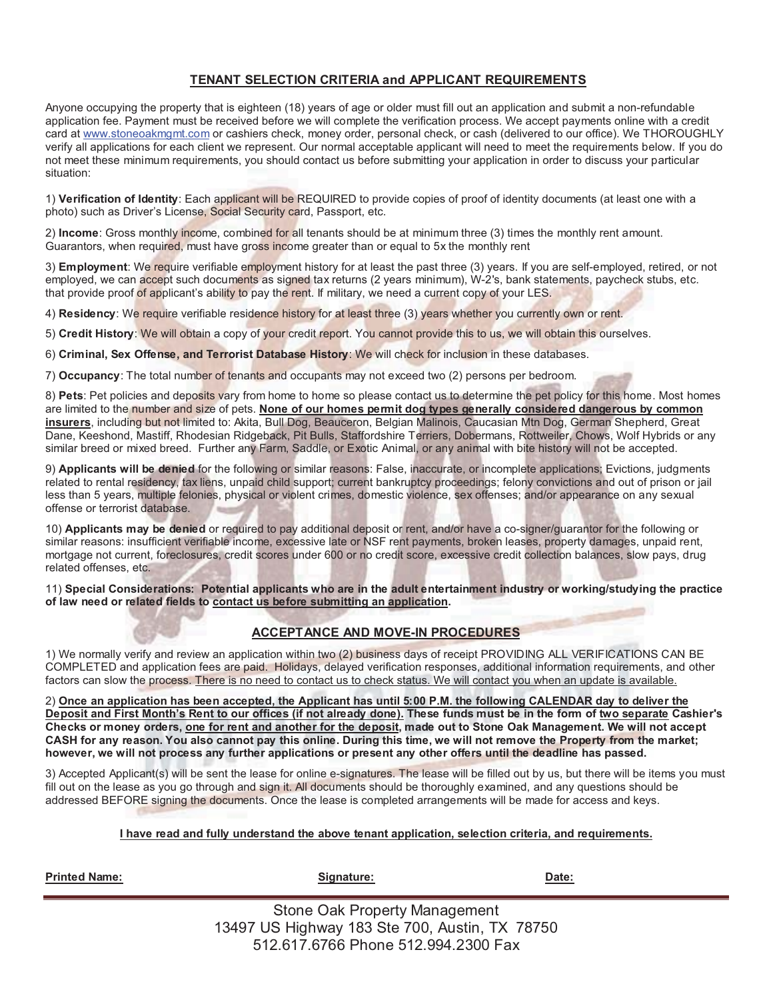### **TENANT SELECTION CRITERIA and APPLICANT REQUIREMENTS**

Anyone occupying the property that is eighteen (18) years of age or older must fill out an application and submit a non-refundable application fee. Payment must be received before we will complete the verification process. We accept payments online with a credit card at www.stoneoakmgmt.com or cashiers check, money order, personal check, or cash (delivered to our office). We THOROUGHLY verify all applications for each client we represent. Our normal acceptable applicant will need to meet the requirements below. If you do not meet these minimum requirements, you should contact us before submitting your application in order to discuss your particular situation:

1) **Verification of Identity**: Each applicant will be REQUIRED to provide copies of proof of identity documents (at least one with a photo) such as Driver's License, Social Security card, Passport, etc.

2) **Income**: Gross monthly income, combined for all tenants should be at minimum three (3) times the monthly rent amount. Guarantors, when required, must have gross income greater than or equal to 5x the monthly rent

3) **Employment**: We require verifiable employment history for at least the past three (3) years. If you are self-employed, retired, or not employed, we can accept such documents as signed tax returns (2 years minimum), W-2's, bank statements, paycheck stubs, etc. that provide proof of applicant's ability to pay the rent. If military, we need a current copy of your LES.

4) **Residency**: We require verifiable residence history for at least three (3) years whether you currently own or rent.

5) **Credit History**: We will obtain a copy of your credit report. You cannot provide this to us, we will obtain this ourselves.

6) **Criminal, Sex Offense, and Terrorist Database History**: We will check for inclusion in these databases.

7) **Occupancy**: The total number of tenants and occupants may not exceed two (2) persons per bedroom.

8) **Pets**: Pet policies and deposits vary from home to home so please contact us to determine the pet policy for this home. Most homes are limited to the number and size of pets. None of our homes permit dog types generally considered dangerous by common **insurers**, including but not limited to: Akita, Bull Dog, Beauceron, Belgian Malinois, Caucasian Mtn Dog, German Shepherd, Great Dane, Keeshond, Mastiff, Rhodesian Ridgeback, Pit Bulls, Staffordshire Terriers, Dobermans, Rottweiler, Chows, Wolf Hybrids or any similar breed or mixed breed. Further any Farm, Saddle, or Exotic Animal, or any animal with bite history will not be accepted.

9) **Applicants will be denied** for the following or similar reasons: False, inaccurate, or incomplete applications; Evictions, judgments related to rental residency, tax liens, unpaid child support; current bankruptcy proceedings; felony convictions and out of prison or jail less than 5 years, multiple felonies, physical or violent crimes, domestic violence, sex offenses; and/or appearance on any sexual offense or terrorist database.

10) **Applicants may be denied** or required to pay additional deposit or rent, and/or have a co-signer/guarantor for the following or similar reasons: insufficient verifiable income, excessive late or NSF rent payments, broken leases, property damages, unpaid rent, mortgage not current, foreclosures, credit scores under 600 or no credit score, excessive credit collection balances, slow pays, drug related offenses, etc.

11) **Special Considerations: Potential applicants who are in the adult entertainment industry or working/studying the practice of law need or related fields to contact us before submitting an application.**

### **ACCEPTANCE AND MOVE-IN PROCEDURES**

1) We normally verify and review an application within two (2) business days of receipt PROVIDING ALL VERIFICATIONS CAN BE COMPLETED and application fees are paid. Holidays, delayed verification responses, additional information requirements, and other factors can slow the process. There is no need to contact us to check status. We will contact you when an update is available.

2) **Once an application has been accepted, the Applicant has until 5:00 P.M. the following CALENDAR day to deliver the Deposit and First Month's Rent to our offices (if not already done). These funds must be in the form of two separate Cashier's Checks or money orders, one for rent and another for the deposit, made out to Stone Oak Management. We will not accept CASH for any reason. You also cannot pay this online. During this time, we will not remove the Property from the market; however, we will not process any further applications or present any other offers until the deadline has passed.** 

3) Accepted Applicant(s) will be sent the lease for online e-signatures. The lease will be filled out by us, but there will be items you must fill out on the lease as you go through and sign it. All documents should be thoroughly examined, and any questions should be addressed BEFORE signing the documents. Once the lease is completed arrangements will be made for access and keys.

#### **I have read and fully understand the above tenant application, selection criteria, and requirements.**

| <b>Printed Name:</b> | Signature:                                                                             | Date: |
|----------------------|----------------------------------------------------------------------------------------|-------|
|                      | Stone Oak Property Management<br>$12407$ LIC Highway $102$ Cto $700$ Augtin TV $70750$ |       |

13497 US Highway 183 Ste 700, Austin, TX 78750 512.617.6766 Phone 512.994.2300 Fax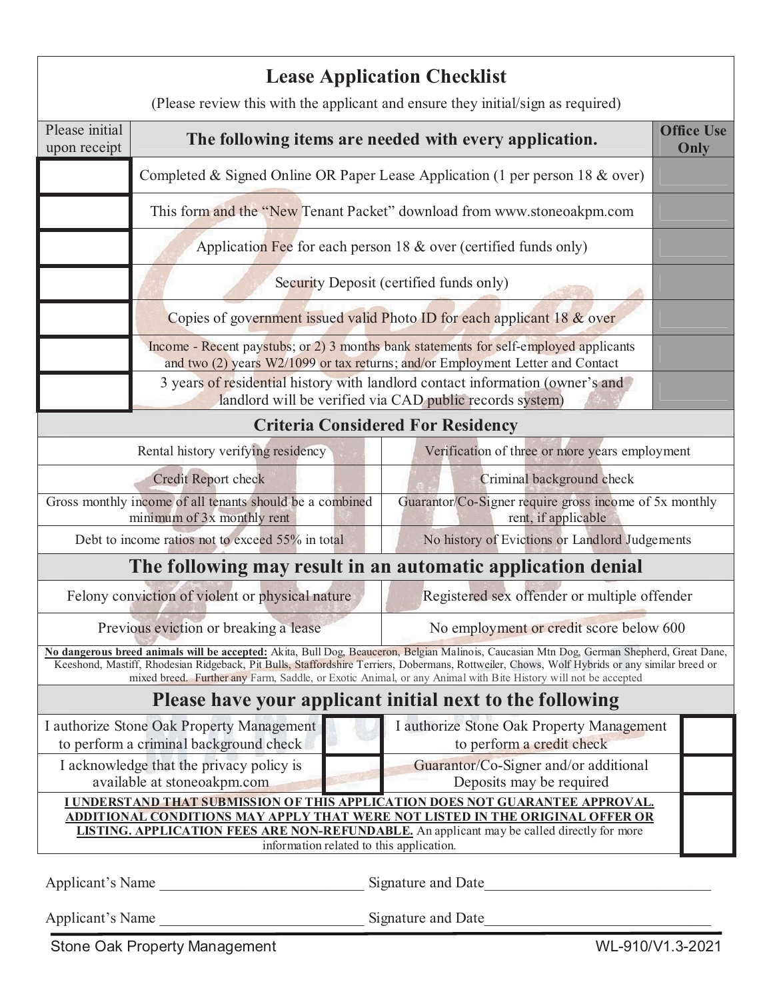|                                                                                                                                                                                                                                                                                                                        |                                                                                                                                                                         | <b>Lease Application Checklist</b>                                                                                                                                                                                                                                                                                                                                                                           |  |  |  |  |
|------------------------------------------------------------------------------------------------------------------------------------------------------------------------------------------------------------------------------------------------------------------------------------------------------------------------|-------------------------------------------------------------------------------------------------------------------------------------------------------------------------|--------------------------------------------------------------------------------------------------------------------------------------------------------------------------------------------------------------------------------------------------------------------------------------------------------------------------------------------------------------------------------------------------------------|--|--|--|--|
|                                                                                                                                                                                                                                                                                                                        |                                                                                                                                                                         | (Please review this with the applicant and ensure they initial/sign as required)                                                                                                                                                                                                                                                                                                                             |  |  |  |  |
| Please initial<br>upon receipt                                                                                                                                                                                                                                                                                         |                                                                                                                                                                         | <b>Office Use</b><br>The following items are needed with every application.<br>Only                                                                                                                                                                                                                                                                                                                          |  |  |  |  |
|                                                                                                                                                                                                                                                                                                                        | Completed & Signed Online OR Paper Lease Application (1 per person $18 \& \text{over}$ )                                                                                |                                                                                                                                                                                                                                                                                                                                                                                                              |  |  |  |  |
|                                                                                                                                                                                                                                                                                                                        | This form and the "New Tenant Packet" download from www.stoneoakpm.com                                                                                                  |                                                                                                                                                                                                                                                                                                                                                                                                              |  |  |  |  |
|                                                                                                                                                                                                                                                                                                                        | Application Fee for each person $18 \&$ over (certified funds only)                                                                                                     |                                                                                                                                                                                                                                                                                                                                                                                                              |  |  |  |  |
|                                                                                                                                                                                                                                                                                                                        | Security Deposit (certified funds only)                                                                                                                                 |                                                                                                                                                                                                                                                                                                                                                                                                              |  |  |  |  |
| Copies of government issued valid Photo ID for each applicant 18 & over                                                                                                                                                                                                                                                |                                                                                                                                                                         |                                                                                                                                                                                                                                                                                                                                                                                                              |  |  |  |  |
|                                                                                                                                                                                                                                                                                                                        | Income - Recent paystubs; or 2) 3 months bank statements for self-employed applicants<br>and two (2) years W2/1099 or tax returns; and/or Employment Letter and Contact |                                                                                                                                                                                                                                                                                                                                                                                                              |  |  |  |  |
|                                                                                                                                                                                                                                                                                                                        | 3 years of residential history with landlord contact information (owner's and<br>landlord will be verified via CAD public records system)                               |                                                                                                                                                                                                                                                                                                                                                                                                              |  |  |  |  |
|                                                                                                                                                                                                                                                                                                                        |                                                                                                                                                                         | <b>Criteria Considered For Residency</b>                                                                                                                                                                                                                                                                                                                                                                     |  |  |  |  |
|                                                                                                                                                                                                                                                                                                                        | Rental history verifying residency<br>Verification of three or more years employment                                                                                    |                                                                                                                                                                                                                                                                                                                                                                                                              |  |  |  |  |
|                                                                                                                                                                                                                                                                                                                        | Credit Report check<br>Criminal background check                                                                                                                        |                                                                                                                                                                                                                                                                                                                                                                                                              |  |  |  |  |
| Guarantor/Co-Signer require gross income of 5x monthly<br>Gross monthly income of all tenants should be a combined<br>minimum of 3x monthly rent<br>rent, if applicable                                                                                                                                                |                                                                                                                                                                         |                                                                                                                                                                                                                                                                                                                                                                                                              |  |  |  |  |
| Debt to income ratios not to exceed 55% in total<br>No history of Evictions or Landlord Judgements                                                                                                                                                                                                                     |                                                                                                                                                                         |                                                                                                                                                                                                                                                                                                                                                                                                              |  |  |  |  |
|                                                                                                                                                                                                                                                                                                                        | The following may result in an automatic application denial                                                                                                             |                                                                                                                                                                                                                                                                                                                                                                                                              |  |  |  |  |
| Registered sex offender or multiple offender<br>Felony conviction of violent or physical nature                                                                                                                                                                                                                        |                                                                                                                                                                         |                                                                                                                                                                                                                                                                                                                                                                                                              |  |  |  |  |
| No employment or credit score below 600<br>Previous eviction or breaking a lease                                                                                                                                                                                                                                       |                                                                                                                                                                         |                                                                                                                                                                                                                                                                                                                                                                                                              |  |  |  |  |
|                                                                                                                                                                                                                                                                                                                        |                                                                                                                                                                         | No dangerous breed animals will be accepted: Akita, Bull Dog, Beauceron, Belgian Malinois, Caucasian Mtn Dog, German Shepherd, Great Dane,<br>Keeshond, Mastiff, Rhodesian Ridgeback, Pit Bulls, Staffordshire Terriers, Dobermans, Rottweiler, Chows, Wolf Hybrids or any similar breed or<br>mixed breed. Further any Farm, Saddle, or Exotic Animal, or any Animal with Bite History will not be accepted |  |  |  |  |
| Please have your applicant initial next to the following                                                                                                                                                                                                                                                               |                                                                                                                                                                         |                                                                                                                                                                                                                                                                                                                                                                                                              |  |  |  |  |
|                                                                                                                                                                                                                                                                                                                        | I authorize Stone Oak Property Management<br>I authorize Stone Oak Property Management<br>to perform a criminal background check<br>to perform a credit check           |                                                                                                                                                                                                                                                                                                                                                                                                              |  |  |  |  |
|                                                                                                                                                                                                                                                                                                                        | I acknowledge that the privacy policy is<br>Guarantor/Co-Signer and/or additional<br>available at stoneoakpm.com<br>Deposits may be required                            |                                                                                                                                                                                                                                                                                                                                                                                                              |  |  |  |  |
| <u>I UNDERSTAND THAT SUBMISSION OF THIS APPLICATION DOES NOT GUARANTEE APPROVAL.</u><br>ADDITIONAL CONDITIONS MAY APPLY THAT WERE NOT LISTED IN THE ORIGINAL OFFER OR<br><b>LISTING. APPLICATION FEES ARE NON-REFUNDABLE.</b> An applicant may be called directly for more<br>information related to this application. |                                                                                                                                                                         |                                                                                                                                                                                                                                                                                                                                                                                                              |  |  |  |  |
|                                                                                                                                                                                                                                                                                                                        | Applicant's Name<br>Signature and Date                                                                                                                                  |                                                                                                                                                                                                                                                                                                                                                                                                              |  |  |  |  |

Applicant's Name \_\_\_\_\_\_\_\_\_\_\_\_\_\_\_\_\_\_\_\_\_\_\_\_\_\_\_ Signature and Date\_\_\_\_\_\_\_\_\_\_\_\_\_\_\_\_\_\_\_\_\_\_\_\_\_\_\_\_\_\_

Stone Oak Property Management WL-910/V1.3-2021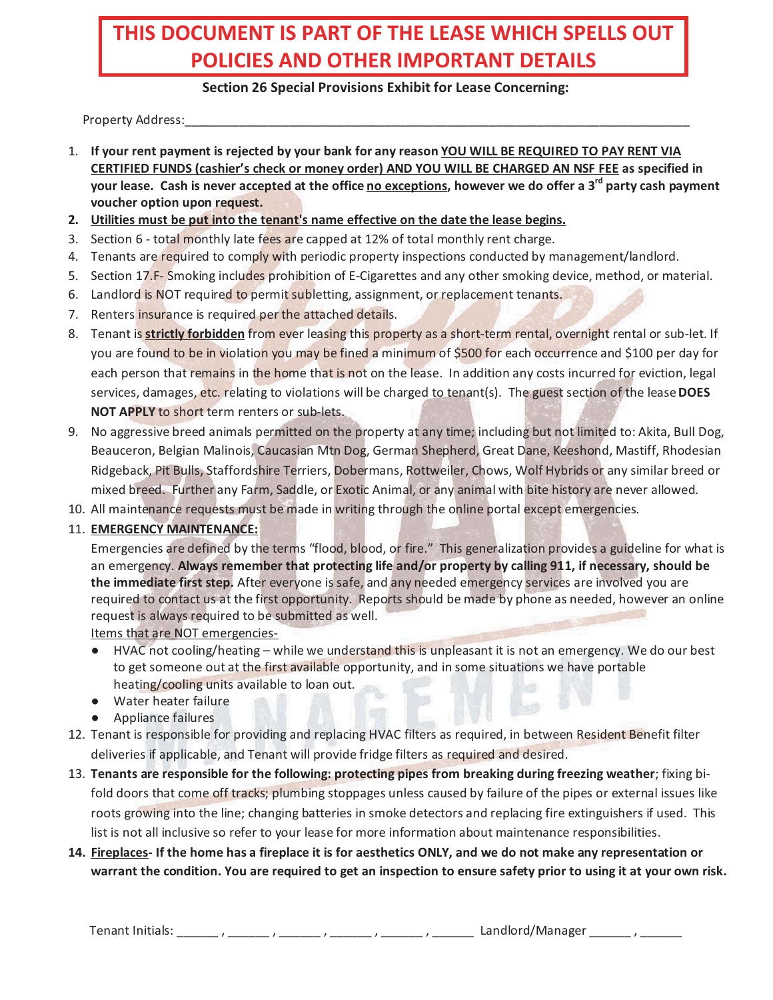# **THIS DOCUMENT IS PART OF THE LEASE WHICH SPELLS OUT POLICIES AND OTHER IMPORTANT DETAILS**

## **Section 26 Special Provisions Exhibit for Lease Concerning:**

Property Address:

- 1. **If your rent payment is rejected by your bank for any reason YOU WILL BE REQUIRED TO PAY RENT VIA CERTIFIED FUNDS (cashier's check or money order) AND YOU WILL BE CHARGED AN NSF FEE as specified in**  your lease. Cash is never accepted at the office no exceptions, however we do offer a 3<sup>rd</sup> party cash payment **voucher option upon request.**
- **2. Utilities must be put into the tenant's name effective on the date the lease begins.**
- 3. Section 6 total monthly late fees are capped at 12% of total monthly rent charge.
- 4. Tenants are required to comply with periodic property inspections conducted by management/landlord.
- 5. Section 17.F- Smoking includes prohibition of E-Cigarettes and any other smoking device, method, or material.
- 6. Landlord is NOT required to permit subletting, assignment, or replacement tenants.
- 7. Renters insurance is required per the attached details.
- 8. Tenant is **strictly forbidden** from ever leasing this property as a short-term rental, overnight rental or sub-let. If you are found to be in violation you may be fined a minimum of \$500 for each occurrence and \$100 per day for each person that remains in the home that is not on the lease. In addition any costs incurred for eviction, legal services, damages, etc. relating to violations will be charged to tenant(s). The guest section of the lease **DOES NOT APPLY** to short term renters or sub-lets.
- 9. No aggressive breed animals permitted on the property at any time; including but not limited to: Akita, Bull Dog, Beauceron, Belgian Malinois, Caucasian Mtn Dog, German Shepherd, Great Dane, Keeshond, Mastiff, Rhodesian Ridgeback, Pit Bulls, Staffordshire Terriers, Dobermans, Rottweiler, Chows, Wolf Hybrids or any similar breed or mixed breed. Further any Farm, Saddle, or Exotic Animal, or any animal with bite history are never allowed.
- 10. All maintenance requests must be made in writing through the online portal except emergencies.

## 11. **EMERGENCY MAINTENANCE:**

Emergencies are defined by the terms "flood, blood, or fire." This generalization provides a guideline for what is an emergency. **Always remember that protecting life and/or property by calling 911, if necessary, should be the immediate first step.** After everyone is safe, and any needed emergency services are involved you are required to contact us at the first opportunity. Reports should be made by phone as needed, however an online request is always required to be submitted as well.

Items that are NOT emergencies-

- HVAC not cooling/heating while we understand this is unpleasant it is not an emergency. We do our best to get someone out at the first available opportunity, and in some situations we have portable heating/cooling units available to loan out.
- Water heater failure
- **•** Appliance failures
- 12. Tenant is responsible for providing and replacing HVAC filters as required, in between Resident Benefit filter deliveries if applicable, and Tenant will provide fridge filters as required and desired.
- 13. **Tenants are responsible for the following: protecting pipes from breaking during freezing weather**; fixing bifold doors that come off tracks; plumbing stoppages unless caused by failure of the pipes or external issues like roots growing into the line; changing batteries in smoke detectors and replacing fire extinguishers if used. This list is not all inclusive so refer to your lease for more information about maintenance responsibilities.

# **14. Fireplaces- If the home has a fireplace it is for aesthetics ONLY, and we do not make any representation or warrant the condition. You are required to get an inspection to ensure safety prior to using it at your own risk.**

Tenant Initials: \_\_\_\_\_\_ , \_\_\_\_\_\_ , \_\_\_\_\_\_ , \_\_\_\_\_\_ , \_\_\_\_\_\_ , \_\_\_\_\_\_ Landlord/Manager \_\_\_\_\_\_ , \_\_\_\_\_\_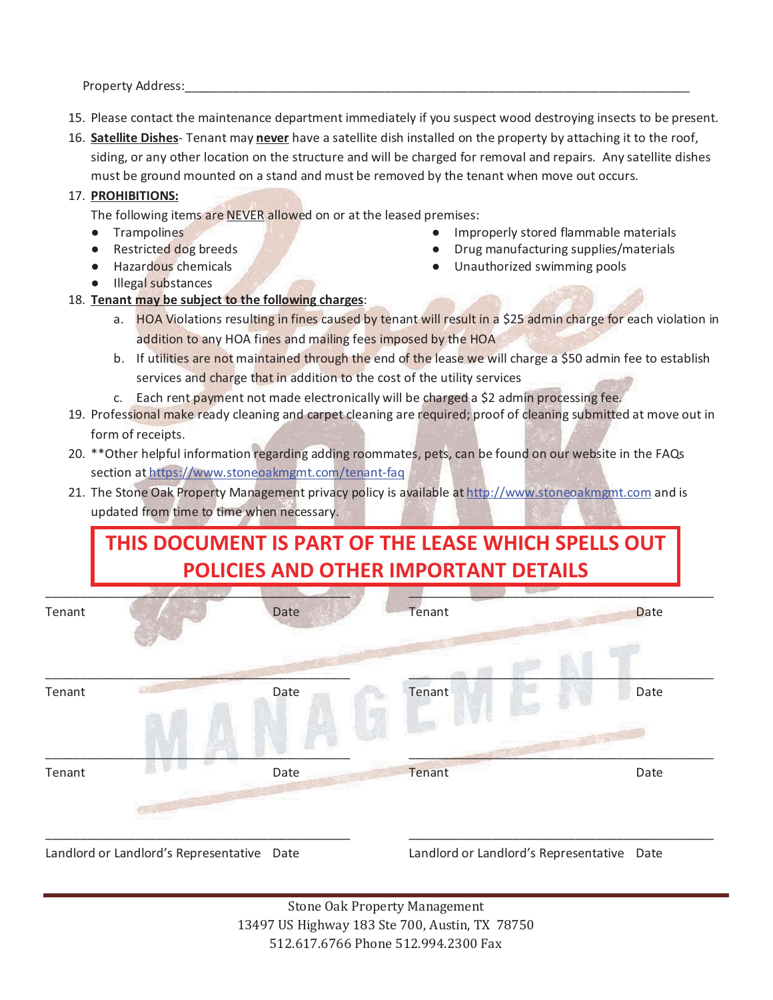Property Address:

- 15. Please contact the maintenance department immediately if you suspect wood destroying insects to be present.
- 16. **Satellite Dishes** Tenant may **never** have a satellite dish installed on the property by attaching it to the roof, siding, or any other location on the structure and will be charged for removal and repairs. Any satellite dishes must be ground mounted on a stand and must be removed by the tenant when move out occurs.

### 17. **PROHIBITIONS:**

The following items are NEVER allowed on or at the leased premises:

- **·** Trampolines
- Restricted dog breeds
- Hazardous chemicals
- Illegal substances
- $\bullet$  Improperly stored flammable materials  $\bullet$  Drug manufacturing supplies/materials
	- Unauthorized swimming pools
- 18. **Tenant may be subject to the following charges**:
	- a. HOA Violations resulting in fines caused by tenant will result in a \$25 admin charge for each violation in addition to any HOA fines and mailing fees imposed by the HOA
	- b. If utilities are not maintained through the end of the lease we will charge a \$50 admin fee to establish services and charge that in addition to the cost of the utility services
	- c. Each rent payment not made electronically will be charged a \$2 admin processing fee.
- 19. Professional make ready cleaning and carpet cleaning are required; proof of cleaning submitted at move out in form of receipts.
- 20. \*\*Other helpful information regarding adding roommates, pets, can be found on our website in the FAQs section at https://www.stoneoakmgmt.com/tenant-faq
- 21. The Stone Oak Property Management privacy policy is available at http://www.stoneoakmgmt.com and is updated from time to time when necessary.

# **THIS DOCUMENT IS PART OF THE LEASE WHICH SPELLS OUT POLICIES AND OTHER IMPORTANT DETAILS**

| Tenant |                                            | Date | Tenant | Date                                       |
|--------|--------------------------------------------|------|--------|--------------------------------------------|
|        |                                            |      |        |                                            |
| Tenant |                                            | Date | Tenant | Date                                       |
|        |                                            |      |        |                                            |
| Tenant |                                            | Date | Tenant | Date                                       |
|        |                                            |      |        |                                            |
|        | Landlord or Landlord's Representative Date |      |        | Landlord or Landlord's Representative Date |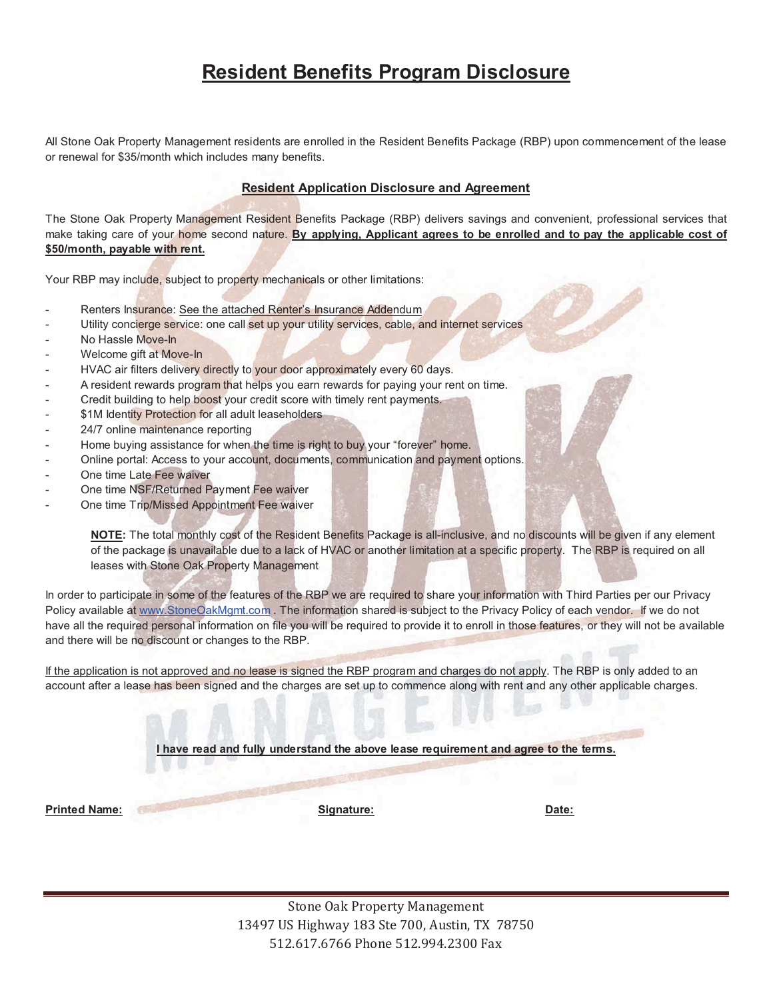# **Resident Benefits Program Disclosure**

All Stone Oak Property Management residents are enrolled in the Resident Benefits Package (RBP) upon commencement of the lease or renewal for \$35/month which includes many benefits.

### **Resident Application Disclosure and Agreement**

The Stone Oak Property Management Resident Benefits Package (RBP) delivers savings and convenient, professional services that make taking care of your home second nature. **By applying, Applicant agrees to be enrolled and to pay the applicable cost of \$50/month, payable with rent.**

Your RBP may include, subject to property mechanicals or other limitations:

- Renters Insurance: See the attached Renter's Insurance Addendum
- Utility concierge service: one call set up your utility services, cable, and internet services
- No Hassle Move-In
- Welcome gift at Move-In
- HVAC air filters delivery directly to your door approximately every 60 days.
- A resident rewards program that helps you earn rewards for paying your rent on time.
- Credit building to help boost your credit score with timely rent payments.
- \$1M Identity Protection for all adult leaseholders
- 24/7 online maintenance reporting
- Home buying assistance for when the time is right to buy your "forever" home.
- Online portal: Access to your account, documents, communication and payment options.
- One time Late Fee waiver
- One time NSF/Returned Payment Fee waiver
- One time Trip/Missed Appointment Fee waiver

**NOTE:** The total monthly cost of the Resident Benefits Package is all-inclusive, and no discounts will be given if any element of the package is unavailable due to a lack of HVAC or another limitation at a specific property. The RBP is required on all leases with Stone Oak Property Management

In order to participate in some of the features of the RBP we are required to share your information with Third Parties per our Privacy Policy available at www.StoneOakMgmt.com. The information shared is subject to the Privacy Policy of each vendor. If we do not have all the required personal information on file you will be required to provide it to enroll in those features, or they will not be available and there will be no discount or changes to the RBP.

If the application is not approved and no lease is signed the RBP program and charges do not apply. The RBP is only added to an account after a lease has been signed and the charges are set up to commence along with rent and any other applicable charges.

**I have read and fully understand the above lease requirement and agree to the terms.** 

**Printed Name: Signature: Date:**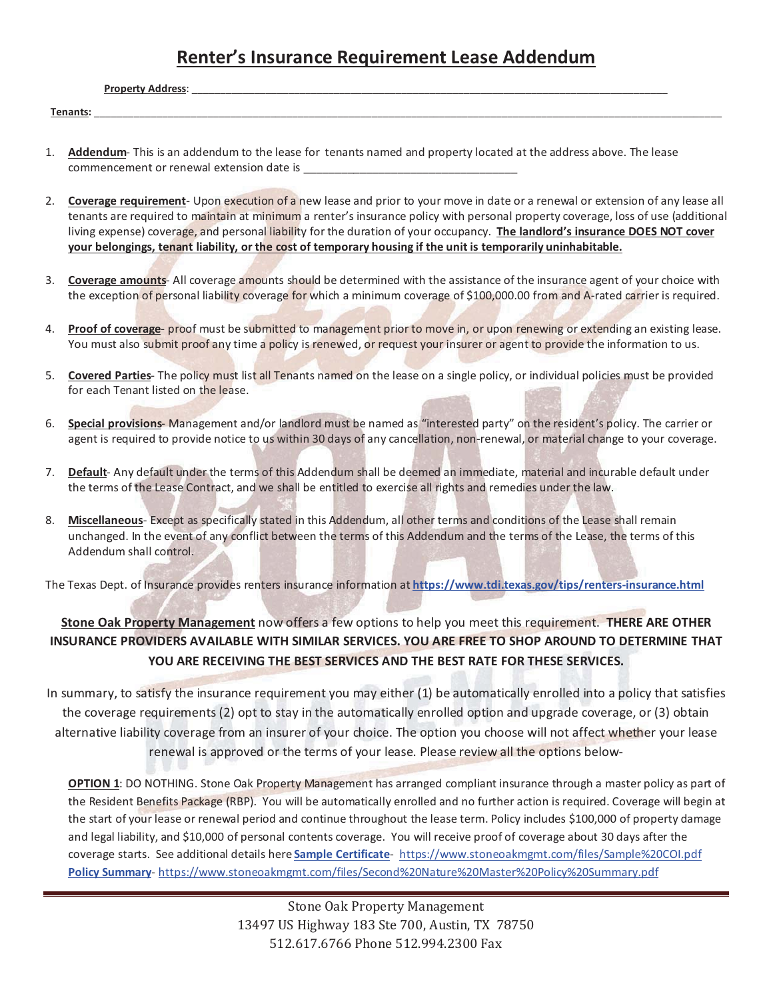# **Renter's Insurance Requirement Lease Addendum**

**Property Address:** 

**Tenants:** \_\_\_\_\_\_\_\_\_\_\_\_\_\_\_\_\_\_\_\_\_\_\_\_\_\_\_\_\_\_\_\_\_\_\_\_\_\_\_\_\_\_\_\_\_\_\_\_\_\_\_\_\_\_\_\_\_\_\_\_\_\_\_\_\_\_\_\_\_\_\_\_\_\_\_\_\_\_\_\_\_\_\_\_\_\_\_\_\_\_\_\_\_\_\_\_\_\_\_\_\_\_\_\_\_\_\_\_\_\_\_

- 1. **Addendum** This is an addendum to the lease for tenants named and property located at the address above. The lease commencement or renewal extension date is
- 2. **Coverage requirement** Upon execution of a new lease and prior to your move in date or a renewal or extension of any lease all tenants are required to maintain at minimum a renter's insurance policy with personal property coverage, loss of use (additional living expense) coverage, and personal liability for the duration of your occupancy. **The landlord's insurance DOES NOT cover your belongings, tenant liability, or the cost of temporary housing if the unit is temporarily uninhabitable.**
- 3. **Coverage amounts** All coverage amounts should be determined with the assistance of the insurance agent of your choice with the exception of personal liability coverage for which a minimum coverage of \$100,000.00 from and A-rated carrier is required.
- 4. **Proof of coverage** proof must be submitted to management prior to move in, or upon renewing or extending an existing lease. You must also submit proof any time a policy is renewed, or request your insurer or agent to provide the information to us.
- 5. **Covered Parties** The policy must list all Tenants named on the lease on a single policy, or individual policies must be provided for each Tenant listed on the lease.
- 6. **Special provisions** Management and/or landlord must be named as "interested party" on the resident's policy. The carrier or agent is required to provide notice to us within 30 days of any cancellation, non-renewal, or material change to your coverage.
- 7. **Default** Any default under the terms of this Addendum shall be deemed an immediate, material and incurable default under the terms of the Lease Contract, and we shall be entitled to exercise all rights and remedies under the law.
- 8. **Miscellaneous** Except as specifically stated in this Addendum, all other terms and conditions of the Lease shall remain unchanged. In the event of any conflict between the terms of this Addendum and the terms of the Lease, the terms of this Addendum shall control.

The Texas Dept. of Insurance provides renters insurance information at **https://www.tdi.texas.gov/tips/renters-insurance.html**

# **Stone Oak Property Management** now offers a few options to help you meet this requirement. **THERE ARE OTHER INSURANCE PROVIDERS AVAILABLE WITH SIMILAR SERVICES. YOU ARE FREE TO SHOP AROUND TO DETERMINE THAT YOU ARE RECEIVING THE BEST SERVICES AND THE BEST RATE FOR THESE SERVICES.**

In summary, to satisfy the insurance requirement you may either (1) be automatically enrolled into a policy that satisfies the coverage requirements (2) opt to stay in the automatically enrolled option and upgrade coverage, or (3) obtain alternative liability coverage from an insurer of your choice. The option you choose will not affect whether your lease renewal is approved or the terms of your lease. Please review all the options below-

**OPTION 1**: DO NOTHING. Stone Oak Property Management has arranged compliant insurance through a master policy as part of the Resident Benefits Package (RBP). You will be automatically enrolled and no further action is required. Coverage will begin at the start of your lease or renewal period and continue throughout the lease term. Policy includes \$100,000 of property damage and legal liability, and \$10,000 of personal contents coverage. You will receive proof of coverage about 30 days after the coverage starts. See additional details here **Sample Certificate**- https://www.stoneoakmgmt.com/files/Sample%20COI.pdf **Policy Summary**- https://www.stoneoakmgmt.com/files/Second%20Nature%20Master%20Policy%20Summary.pdf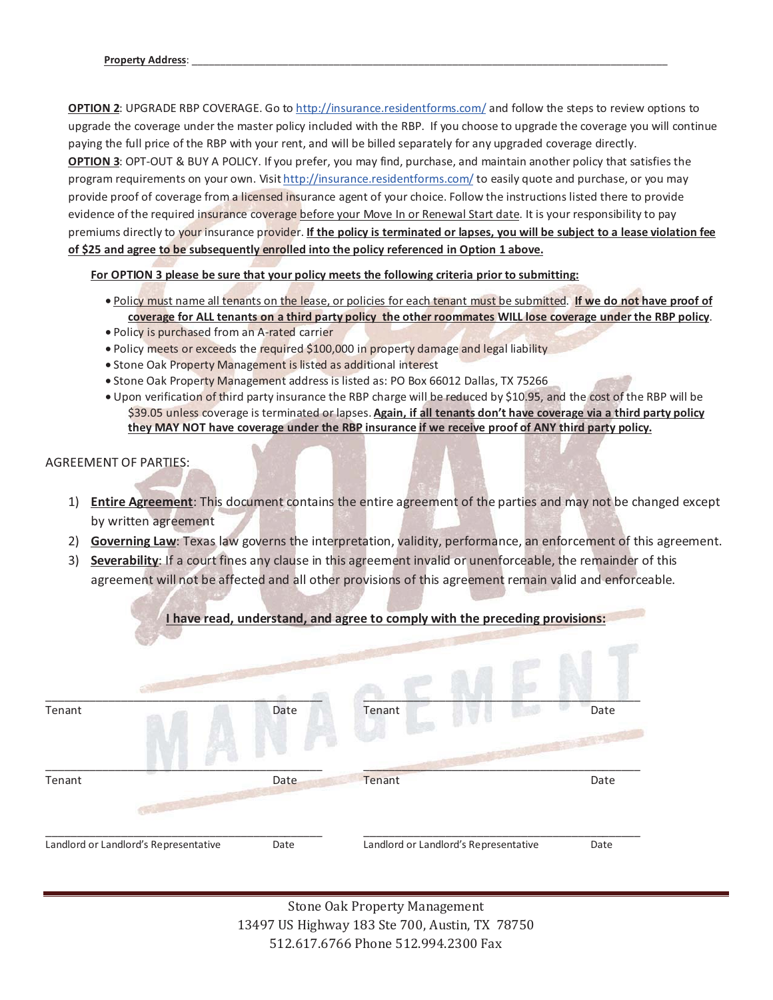**OPTION 2**: UPGRADE RBP COVERAGE. Go to http://insurance.residentforms.com/ and follow the steps to review options to upgrade the coverage under the master policy included with the RBP. If you choose to upgrade the coverage you will continue paying the full price of the RBP with your rent, and will be billed separately for any upgraded coverage directly. **OPTION 3**: OPT-OUT & BUY A POLICY. If you prefer, you may find, purchase, and maintain another policy that satisfies the program requirements on your own. Visit http://insurance.residentforms.com/ to easily quote and purchase, or you may provide proof of coverage from a licensed insurance agent of your choice. Follow the instructions listed there to provide evidence of the required insurance coverage before your Move In or Renewal Start date. It is your responsibility to pay premiums directly to your insurance provider. **If the policy is terminated or lapses, you will be subject to a lease violation fee of \$25 and agree to be subsequently enrolled into the policy referenced in Option 1 above.**

**For OPTION 3 please be sure that your policy meets the following criteria prior to submitting:**

- Policy must name all tenants on the lease, or policies for each tenant must be submitted. **If we do not have proof of coverage for ALL tenants on a third party policy the other roommates WILL lose coverage under the RBP policy**.
- Policy is purchased from an A-rated carrier
- Policy meets or exceeds the required \$100,000 in property damage and legal liability
- Stone Oak Property Management is listed as additional interest
- Stone Oak Property Management address is listed as: PO Box 66012 Dallas, TX 75266
- Upon verification of third party insurance the RBP charge will be reduced by \$10.95, and the cost of the RBP will be \$39.05 unless coverage is terminated or lapses. **Again, if all tenants don't have coverage via a third party policy they MAY NOT have coverage under the RBP insurance if we receive proof of ANY third party policy.**

### AGREEMENT OF PARTIES:

- 1) **Entire Agreement**: This document contains the entire agreement of the parties and may not be changed except by written agreement
- 2) **Governing Law**: Texas law governs the interpretation, validity, performance, an enforcement of this agreement.
- 3) **Severability**: If a court fines any clause in this agreement invalid or unenforceable, the remainder of this agreement will not be affected and all other provisions of this agreement remain valid and enforceable.

|        |                                       |      | I have read, understand, and agree to comply with the preceding provisions: |      |
|--------|---------------------------------------|------|-----------------------------------------------------------------------------|------|
|        |                                       |      |                                                                             |      |
| Tenant |                                       | Date | Tenant                                                                      | Date |
| Tenant |                                       | Date | Tenant                                                                      | Date |
|        | Landlord or Landlord's Representative | Date | Landlord or Landlord's Representative                                       | Date |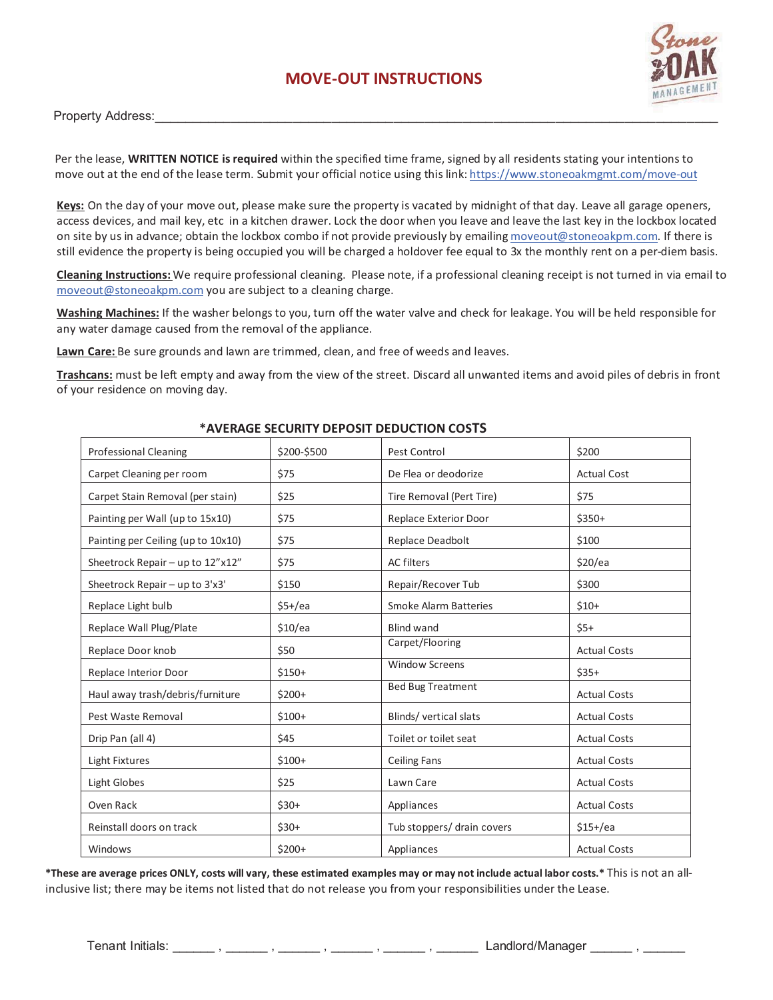# **MOVE-OUT INSTRUCTIONS**



Property Address:

Per the lease, **WRITTEN NOTICE is required** within the specified time frame, signed by all residents stating your intentions to move out at the end of the lease term. Submit your official notice using this link: https://www.stoneoakmgmt.com/move-out

**Keys:** On the day of your move out, please make sure the property is vacated by midnight of that day. Leave all garage openers, access devices, and mail key, etc in a kitchen drawer. Lock the door when you leave and leave the last key in the lockbox located on site by us in advance; obtain the lockbox combo if not provide previously by emailing moveout@stoneoakpm.com. If there is still evidence the property is being occupied you will be charged a holdover fee equal to 3x the monthly rent on a per-diem basis.

**Cleaning Instructions:** We require professional cleaning. Please note, if a professional cleaning receipt is not turned in via email to moveout@stoneoakpm.com you are subject to a cleaning charge.

**Washing Machines:** If the washer belongs to you, turn off the water valve and check for leakage. You will be held responsible for any water damage caused from the removal of the appliance.

**Lawn Care:** Be sure grounds and lawn are trimmed, clean, and free of weeds and leaves.

**Trashcans:** must be left empty and away from the view of the street. Discard all unwanted items and avoid piles of debris in front of your residence on moving day.

| <b>Professional Cleaning</b>       | \$200-\$500 | Pest Control                 | \$200               |
|------------------------------------|-------------|------------------------------|---------------------|
| Carpet Cleaning per room           | \$75        | De Flea or deodorize         | <b>Actual Cost</b>  |
| Carpet Stain Removal (per stain)   | \$25        | Tire Removal (Pert Tire)     | \$75                |
| Painting per Wall (up to 15x10)    | \$75        | Replace Exterior Door        | $$350+$             |
| Painting per Ceiling (up to 10x10) | \$75        | Replace Deadbolt             | \$100               |
| Sheetrock Repair - up to 12"x12"   | \$75        | <b>AC filters</b>            | \$20/ea             |
| Sheetrock Repair - up to 3'x3'     | \$150       | Repair/Recover Tub           | \$300               |
| Replace Light bulb                 | $$5+/ea$    | <b>Smoke Alarm Batteries</b> | $$10+$              |
| Replace Wall Plug/Plate            | \$10/ea     | <b>Blind wand</b>            | $$5+$               |
| Replace Door knob                  | \$50        | Carpet/Flooring              | <b>Actual Costs</b> |
| Replace Interior Door              | $$150+$     | <b>Window Screens</b>        | $$35+$              |
| Haul away trash/debris/furniture   | $$200+$     | <b>Bed Bug Treatment</b>     | <b>Actual Costs</b> |
| Pest Waste Removal                 | $$100+$     | Blinds/vertical slats        | <b>Actual Costs</b> |
| Drip Pan (all 4)                   | \$45        | Toilet or toilet seat        | <b>Actual Costs</b> |
| Light Fixtures                     | $$100+$     | <b>Ceiling Fans</b>          | <b>Actual Costs</b> |
| <b>Light Globes</b>                | \$25        | Lawn Care                    | <b>Actual Costs</b> |
| Oven Rack                          | $$30+$      | Appliances                   | <b>Actual Costs</b> |
| Reinstall doors on track           | $$30+$      | Tub stoppers/ drain covers   | $$15 + /ea$         |
| Windows                            | $$200+$     | Appliances                   | <b>Actual Costs</b> |

#### **\*AVERAGE SECURITY DEPOSIT DEDUCTION COSTS**

**\*These are average prices ONLY, costs will vary, these estimated examples may or may not include actual labor costs.\*** This is not an allinclusive list; there may be items not listed that do not release you from your responsibilities under the Lease.